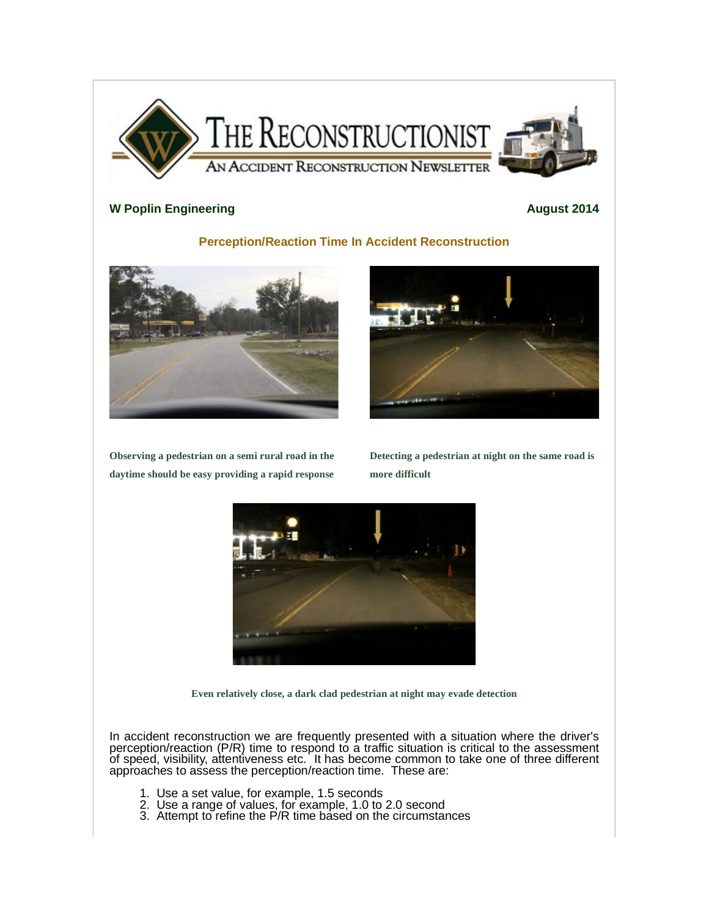

## **W** Poplin Engineering **August** 2014

## **Perception/Reaction Time In Accident Reconstruction**



**Observing a pedestrian on a semi rural road in the daytime should be easy providing a rapid response**







**Even relatively close, a dark clad pedestrian at night may evade detection**

In accident reconstruction we are frequently presented with a situation where the driver's perception/reaction (P/R) time to respond to a traffic situation is critical to the assessment of speed, visibility, attentiveness etc. It has become common to take one of three different approaches to assess the perception/reaction time. These are:

- 1. Use a set value, for example, 1.5 seconds
- 2. Use a range of values, for example, 1.0 to 2.0 second
- 3. Attempt to refine the P/R time based on the circumstances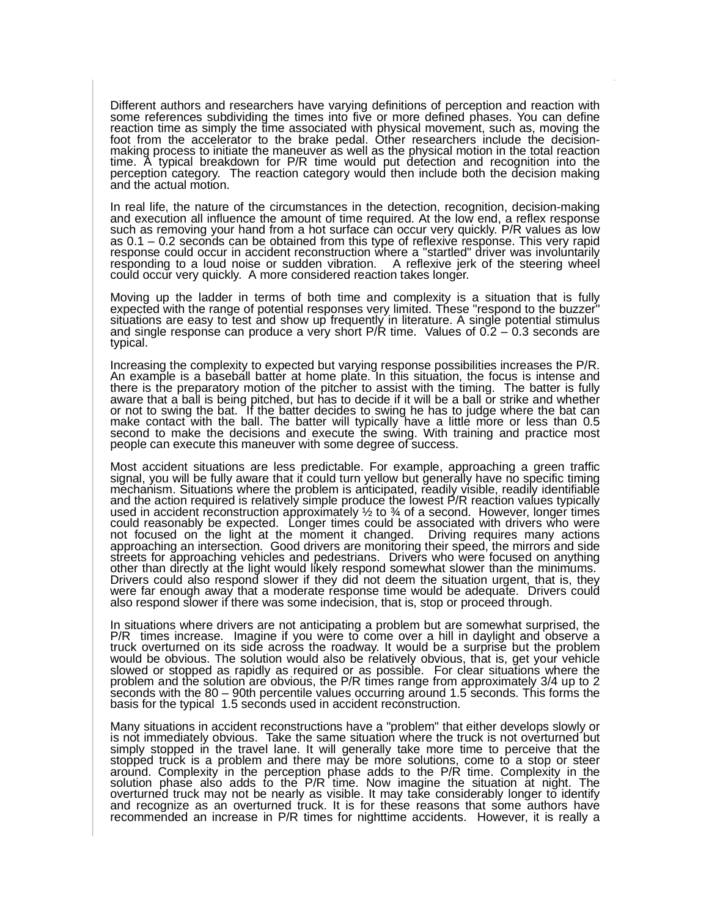Different authors and researchers have varying definitions of perception and reaction with some references subdividing the times into five or more defined phases. You can define reaction time as simply the time associated with physical movement, such as, moving the foot from the accelerator to the brake pedal. Other researchers include the decisionmaking process to initiate the maneuver as well as the physical motion in the total reaction time. A typical breakdown for P/R time would put detection and recognition into the perception category. The reaction category would then include both the decision making and the actual motion.

In real life, the nature of the circumstances in the detection, recognition, decision-making and execution all influence the amount of time required. At the low end, a reflex response such as removing your hand from a hot surface can occur very quickly. P/R values as low as 0.1 – 0.2 seconds can be obtained from this type of reflexive response. This very rapid response could occur in accident reconstruction where a "startled" driver was involuntarily responding to a loud noise or sudden vibration. A reflexive jerk of the steering wheel could occur very quickly. A more considered reaction takes longer.

Moving up the ladder in terms of both time and complexity is a situation that is fully expected with the range of potential responses very limited. These "respond to the buzzer" situations are easy to test and show up frequently in literature. A single potential stimulus and single response can produce a very short  $P/R$  time. Values of  $0.2 - 0.3$  seconds are typical.

Increasing the complexity to expected but varying response possibilities increases the P/R. An example is a baseball batter at home plate. In this situation, the focus is intense and there is the preparatory motion of the pitcher to assist with the timing. The batter is fully aware that a ball is being pitched, but has to decide if it will be a ball or strike and whether or not to swing the bat. If the batter decides to swing he has to judge where the bat can make contact with the ball. The batter will typically have a little more or less than 0.5 second to make the decisions and execute the swing. With training and practice most people can execute this maneuver with some degree of success.

Most accident situations are less predictable. For example, approaching a green traffic signal, you will be fully aware that it could turn yellow but generally have no specific timing mechanism. Situations where the problem is anticipated, readily visible, readily identifiable and the action required is relatively simple produce the lowest P/R reaction values typically used in accident reconstruction approximately  $\frac{1}{2}$  to  $\frac{1}{2}$  of a second. However, longer times could reasonably be expected. Longer times could be associated with drivers who were not focused on the light at the moment it changed. Driving requires many actions approaching an intersection. Good drivers are monitoring their speed, the mirrors and side streets for approaching vehicles and pedestrians. Drivers who were focused on anything other than directly at the light would likely respond somewhat slower than the minimums. Drivers could also respond slower if they did not deem the situation urgent, that is, they were far enough away that a moderate response time would be adequate. Drivers could also respond slower if there was some indecision, that is, stop or proceed through.

In situations where drivers are not anticipating a problem but are somewhat surprised, the P/R times increase. Imagine if you were to come over a hill in daylight and observe a truck overturned on its side across the roadway. It would be a surprise but the problem would be obvious. The solution would also be relatively obvious, that is, get your vehicle slowed or stopped as rapidly as required or as possible. For clear situations where the problem and the solution are obvious, the P/R times range from approximately 3/4 up to 2 seconds with the 80 – 90th percentile values occurring around 1.5 seconds. This forms the basis for the typical 1.5 seconds used in accident reconstruction.

Many situations in accident reconstructions have a "problem" that either develops slowly or is not immediately obvious. Take the same situation where the truck is not overturned but simply stopped in the travel lane. It will generally take more time to perceive that the stopped truck is a problem and there may be more solutions, come to a stop or steer around. Complexity in the perception phase adds to the P/R time. Complexity in the solution phase also adds to the P/R time. Now imagine the situation at night. The overturned truck may not be nearly as visible. It may take considerably longer to identify and recognize as an overturned truck. It is for these reasons that some authors have recommended an increase in P/R times for nighttime accidents. However, it is really a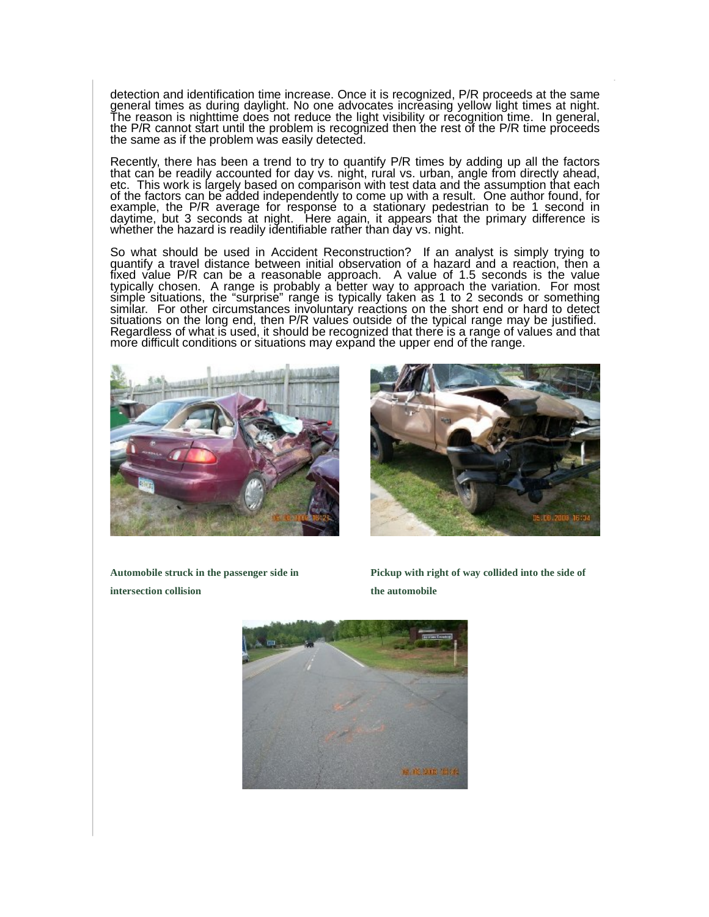detection and identification time increase. Once it is recognized, P/R proceeds at the same general times as during daylight. No one advocates increasing yellow light times at night. The reason is nighttime does not reduce the light visibility or recognition time. In general, the P/R cannot start until the problem is recognized then the rest of the P/R time proceeds the same as if the problem was easily detected.

Recently, there has been a trend to try to quantify P/R times by adding up all the factors that can be readily accounted for day vs. night, rural vs. urban, angle from directly ahead, etc. This work is largely based on comparison with test data and the assumption that each of the factors can be added independently to come up with a result. One author found, for example, the P/R average for response to a stationary pedestrian to be 1 second in daytime, but 3 seconds at night. Here again, it appears that the primary difference is whether the hazard is readily identifiable rather than day vs. night.

So what should be used in Accident Reconstruction? If an analyst is simply trying to quantify a travel distance between initial observation of a hazard and a reaction, then a fixed value P/R can be a reasonable approach. A value of 1.5 seconds is the value typically chosen. A range is probably a better way to approach the variation. For most simple situations, the "surprise" range is typically taken as 1 to 2 seconds or something similar. For other circumstances involuntary reactions on the short end or hard to detect situations on the long end, then P/R values outside of the typical range may be justified. Regardless of what is used, it should be recognized that there is a range of values and that more difficult conditions or situations may expand the upper end of the range.





**Automobile struck in the passenger side in intersection collision**

**Pickup with right of way collided into the side of the automobile**